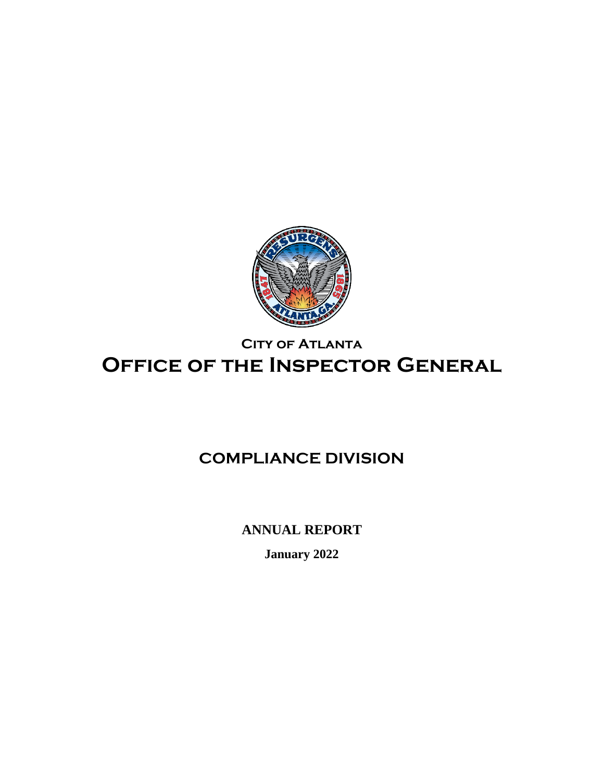

# **City of Atlanta Office of the Inspector General**

# **COMPLIANCE DIVISION**

**ANNUAL REPORT**

**January 2022**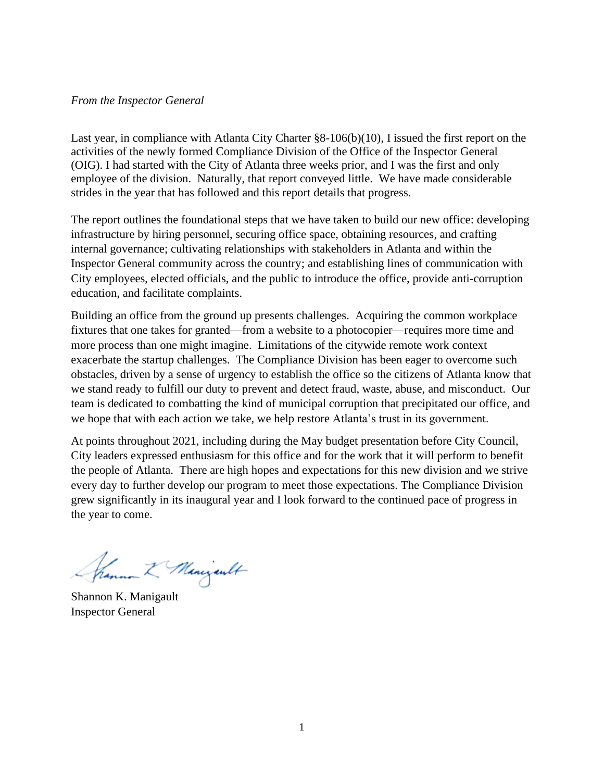#### *From the Inspector General*

Last year, in compliance with Atlanta City Charter §8-106(b)(10), I issued the first report on the activities of the newly formed Compliance Division of the Office of the Inspector General (OIG). I had started with the City of Atlanta three weeks prior, and I was the first and only employee of the division. Naturally, that report conveyed little. We have made considerable strides in the year that has followed and this report details that progress.

The report outlines the foundational steps that we have taken to build our new office: developing infrastructure by hiring personnel, securing office space, obtaining resources, and crafting internal governance; cultivating relationships with stakeholders in Atlanta and within the Inspector General community across the country; and establishing lines of communication with City employees, elected officials, and the public to introduce the office, provide anti-corruption education, and facilitate complaints.

Building an office from the ground up presents challenges. Acquiring the common workplace fixtures that one takes for granted—from a website to a photocopier—requires more time and more process than one might imagine. Limitations of the citywide remote work context exacerbate the startup challenges. The Compliance Division has been eager to overcome such obstacles, driven by a sense of urgency to establish the office so the citizens of Atlanta know that we stand ready to fulfill our duty to prevent and detect fraud, waste, abuse, and misconduct. Our team is dedicated to combatting the kind of municipal corruption that precipitated our office, and we hope that with each action we take, we help restore Atlanta's trust in its government.

At points throughout 2021, including during the May budget presentation before City Council, City leaders expressed enthusiasm for this office and for the work that it will perform to benefit the people of Atlanta. There are high hopes and expectations for this new division and we strive every day to further develop our program to meet those expectations. The Compliance Division grew significantly in its inaugural year and I look forward to the continued pace of progress in the year to come.

Shamman & Menizent

Shannon K. Manigault Inspector General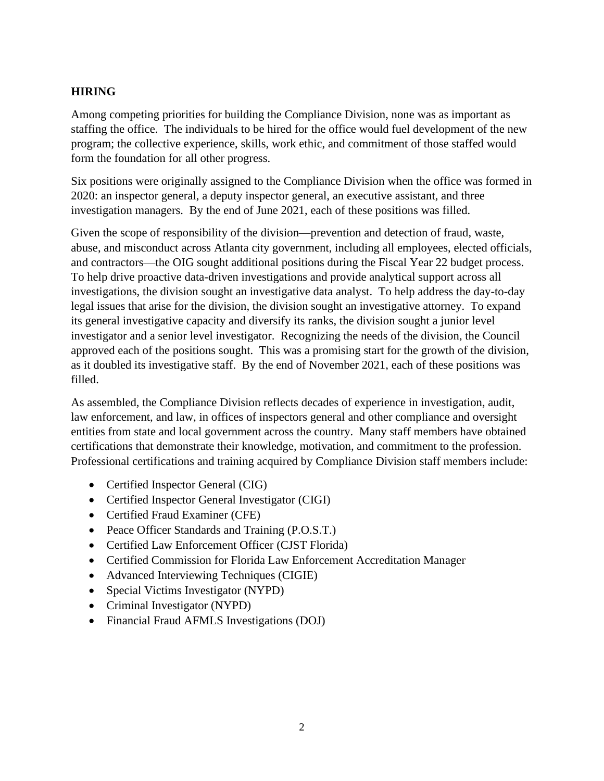# **HIRING**

Among competing priorities for building the Compliance Division, none was as important as staffing the office. The individuals to be hired for the office would fuel development of the new program; the collective experience, skills, work ethic, and commitment of those staffed would form the foundation for all other progress.

Six positions were originally assigned to the Compliance Division when the office was formed in 2020: an inspector general, a deputy inspector general, an executive assistant, and three investigation managers. By the end of June 2021, each of these positions was filled.

Given the scope of responsibility of the division—prevention and detection of fraud, waste, abuse, and misconduct across Atlanta city government, including all employees, elected officials, and contractors—the OIG sought additional positions during the Fiscal Year 22 budget process. To help drive proactive data-driven investigations and provide analytical support across all investigations, the division sought an investigative data analyst. To help address the day-to-day legal issues that arise for the division, the division sought an investigative attorney. To expand its general investigative capacity and diversify its ranks, the division sought a junior level investigator and a senior level investigator. Recognizing the needs of the division, the Council approved each of the positions sought. This was a promising start for the growth of the division, as it doubled its investigative staff. By the end of November 2021, each of these positions was filled.

As assembled, the Compliance Division reflects decades of experience in investigation, audit, law enforcement, and law, in offices of inspectors general and other compliance and oversight entities from state and local government across the country. Many staff members have obtained certifications that demonstrate their knowledge, motivation, and commitment to the profession. Professional certifications and training acquired by Compliance Division staff members include:

- Certified Inspector General (CIG)
- Certified Inspector General Investigator (CIGI)
- Certified Fraud Examiner (CFE)
- Peace Officer Standards and Training (P.O.S.T.)
- Certified Law Enforcement Officer (CJST Florida)
- Certified Commission for Florida Law Enforcement Accreditation Manager
- Advanced Interviewing Techniques (CIGIE)
- Special Victims Investigator (NYPD)
- Criminal Investigator (NYPD)
- Financial Fraud AFMLS Investigations (DOJ)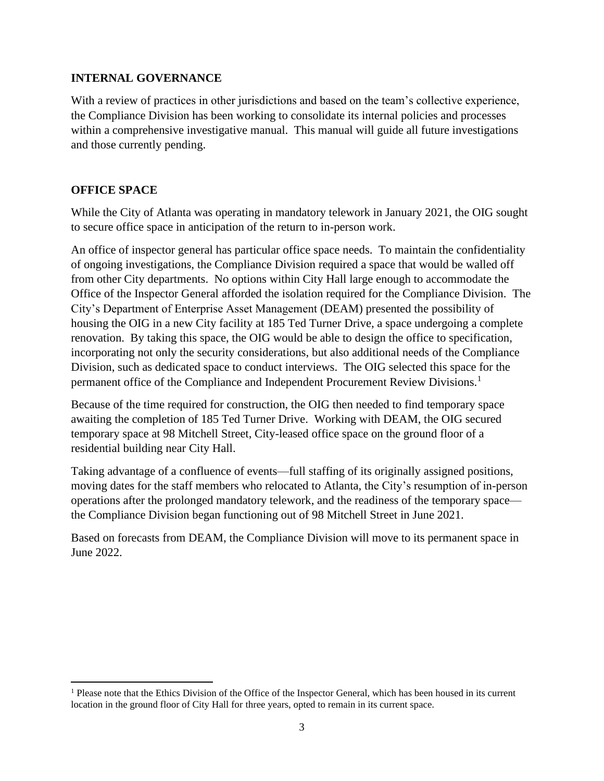### **INTERNAL GOVERNANCE**

With a review of practices in other jurisdictions and based on the team's collective experience, the Compliance Division has been working to consolidate its internal policies and processes within a comprehensive investigative manual. This manual will guide all future investigations and those currently pending.

### **OFFICE SPACE**

While the City of Atlanta was operating in mandatory telework in January 2021, the OIG sought to secure office space in anticipation of the return to in-person work.

An office of inspector general has particular office space needs. To maintain the confidentiality of ongoing investigations, the Compliance Division required a space that would be walled off from other City departments. No options within City Hall large enough to accommodate the Office of the Inspector General afforded the isolation required for the Compliance Division. The City's Department of Enterprise Asset Management (DEAM) presented the possibility of housing the OIG in a new City facility at 185 Ted Turner Drive, a space undergoing a complete renovation. By taking this space, the OIG would be able to design the office to specification, incorporating not only the security considerations, but also additional needs of the Compliance Division, such as dedicated space to conduct interviews. The OIG selected this space for the permanent office of the Compliance and Independent Procurement Review Divisions.<sup>1</sup>

Because of the time required for construction, the OIG then needed to find temporary space awaiting the completion of 185 Ted Turner Drive. Working with DEAM, the OIG secured temporary space at 98 Mitchell Street, City-leased office space on the ground floor of a residential building near City Hall.

Taking advantage of a confluence of events—full staffing of its originally assigned positions, moving dates for the staff members who relocated to Atlanta, the City's resumption of in-person operations after the prolonged mandatory telework, and the readiness of the temporary space the Compliance Division began functioning out of 98 Mitchell Street in June 2021.

Based on forecasts from DEAM, the Compliance Division will move to its permanent space in June 2022.

<sup>1</sup> Please note that the Ethics Division of the Office of the Inspector General, which has been housed in its current location in the ground floor of City Hall for three years, opted to remain in its current space.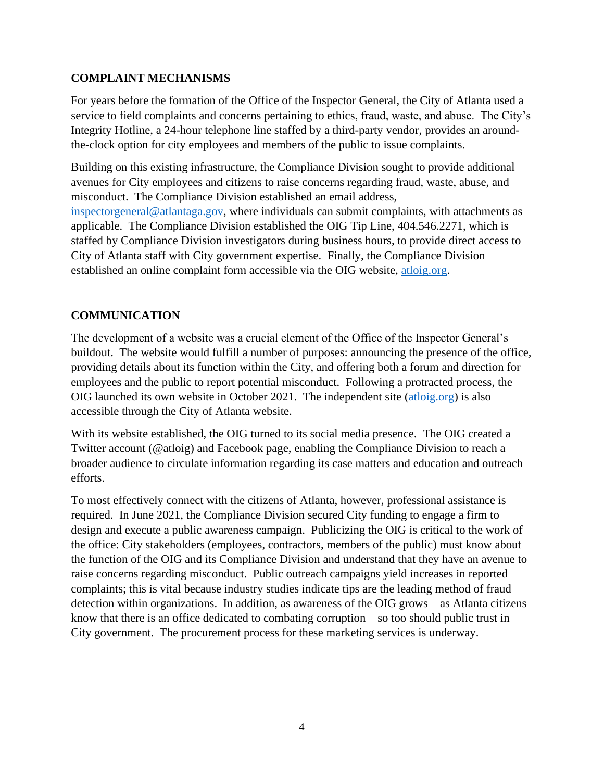## **COMPLAINT MECHANISMS**

For years before the formation of the Office of the Inspector General, the City of Atlanta used a service to field complaints and concerns pertaining to ethics, fraud, waste, and abuse. The City's Integrity Hotline, a 24-hour telephone line staffed by a third-party vendor, provides an aroundthe-clock option for city employees and members of the public to issue complaints.

Building on this existing infrastructure, the Compliance Division sought to provide additional avenues for City employees and citizens to raise concerns regarding fraud, waste, abuse, and misconduct. The Compliance Division established an email address, [inspectorgeneral@atlantaga.gov,](mailto:inspectorgeneral@atlantaga.gov) where individuals can submit complaints, with attachments as applicable. The Compliance Division established the OIG Tip Line, 404.546.2271, which is staffed by Compliance Division investigators during business hours, to provide direct access to City of Atlanta staff with City government expertise. Finally, the Compliance Division established an online complaint form accessible via the OIG website, [atloig.org.](http://www.atloig.org/)

# **COMMUNICATION**

The development of a website was a crucial element of the Office of the Inspector General's buildout. The website would fulfill a number of purposes: announcing the presence of the office, providing details about its function within the City, and offering both a forum and direction for employees and the public to report potential misconduct. Following a protracted process, the OIG launched its own website in October 2021. The independent site [\(atloig.org\)](http://www.atloig.org/) is also accessible through the City of Atlanta website.

With its website established, the OIG turned to its social media presence. The OIG created a Twitter account (@atloig) and Facebook page, enabling the Compliance Division to reach a broader audience to circulate information regarding its case matters and education and outreach efforts.

To most effectively connect with the citizens of Atlanta, however, professional assistance is required. In June 2021, the Compliance Division secured City funding to engage a firm to design and execute a public awareness campaign. Publicizing the OIG is critical to the work of the office: City stakeholders (employees, contractors, members of the public) must know about the function of the OIG and its Compliance Division and understand that they have an avenue to raise concerns regarding misconduct. Public outreach campaigns yield increases in reported complaints; this is vital because industry studies indicate tips are the leading method of fraud detection within organizations. In addition, as awareness of the OIG grows—as Atlanta citizens know that there is an office dedicated to combating corruption—so too should public trust in City government. The procurement process for these marketing services is underway.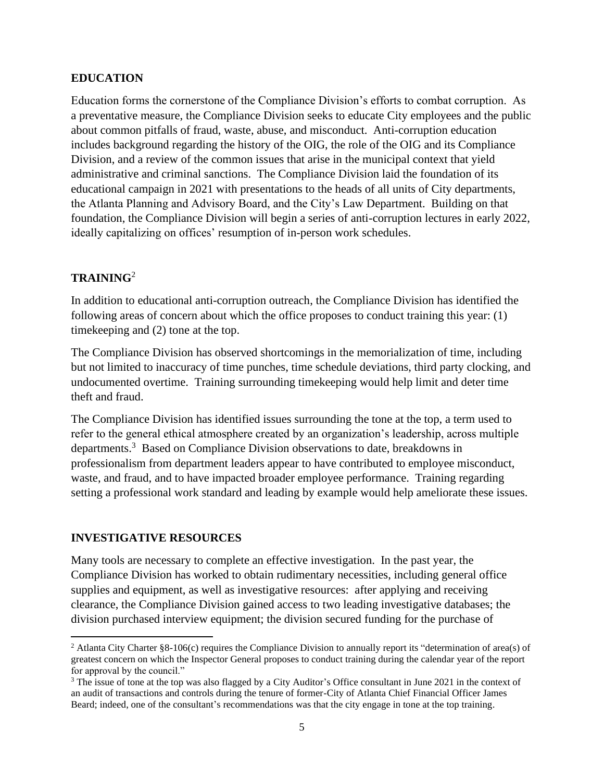#### **EDUCATION**

Education forms the cornerstone of the Compliance Division's efforts to combat corruption. As a preventative measure, the Compliance Division seeks to educate City employees and the public about common pitfalls of fraud, waste, abuse, and misconduct. Anti-corruption education includes background regarding the history of the OIG, the role of the OIG and its Compliance Division, and a review of the common issues that arise in the municipal context that yield administrative and criminal sanctions. The Compliance Division laid the foundation of its educational campaign in 2021 with presentations to the heads of all units of City departments, the Atlanta Planning and Advisory Board, and the City's Law Department. Building on that foundation, the Compliance Division will begin a series of anti-corruption lectures in early 2022, ideally capitalizing on offices' resumption of in-person work schedules.

## **TRAINING**<sup>2</sup>

In addition to educational anti-corruption outreach, the Compliance Division has identified the following areas of concern about which the office proposes to conduct training this year: (1) timekeeping and (2) tone at the top.

The Compliance Division has observed shortcomings in the memorialization of time, including but not limited to inaccuracy of time punches, time schedule deviations, third party clocking, and undocumented overtime. Training surrounding timekeeping would help limit and deter time theft and fraud.

The Compliance Division has identified issues surrounding the tone at the top, a term used to refer to the general ethical atmosphere created by an organization's leadership, across multiple departments.<sup>3</sup> Based on Compliance Division observations to date, breakdowns in professionalism from department leaders appear to have contributed to employee misconduct, waste, and fraud, and to have impacted broader employee performance. Training regarding setting a professional work standard and leading by example would help ameliorate these issues.

## **INVESTIGATIVE RESOURCES**

Many tools are necessary to complete an effective investigation. In the past year, the Compliance Division has worked to obtain rudimentary necessities, including general office supplies and equipment, as well as investigative resources: after applying and receiving clearance, the Compliance Division gained access to two leading investigative databases; the division purchased interview equipment; the division secured funding for the purchase of

<sup>&</sup>lt;sup>2</sup> Atlanta City Charter §8-106(c) requires the Compliance Division to annually report its "determination of area(s) of greatest concern on which the Inspector General proposes to conduct training during the calendar year of the report for approval by the council."

<sup>&</sup>lt;sup>3</sup> The issue of tone at the top was also flagged by a City Auditor's Office consultant in June 2021 in the context of an audit of transactions and controls during the tenure of former-City of Atlanta Chief Financial Officer James Beard; indeed, one of the consultant's recommendations was that the city engage in tone at the top training.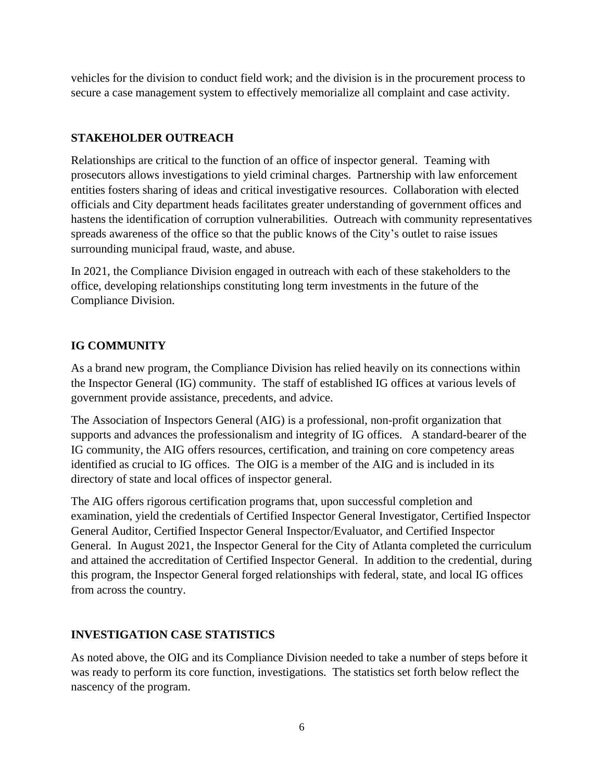vehicles for the division to conduct field work; and the division is in the procurement process to secure a case management system to effectively memorialize all complaint and case activity.

# **STAKEHOLDER OUTREACH**

Relationships are critical to the function of an office of inspector general. Teaming with prosecutors allows investigations to yield criminal charges. Partnership with law enforcement entities fosters sharing of ideas and critical investigative resources. Collaboration with elected officials and City department heads facilitates greater understanding of government offices and hastens the identification of corruption vulnerabilities. Outreach with community representatives spreads awareness of the office so that the public knows of the City's outlet to raise issues surrounding municipal fraud, waste, and abuse.

In 2021, the Compliance Division engaged in outreach with each of these stakeholders to the office, developing relationships constituting long term investments in the future of the Compliance Division.

## **IG COMMUNITY**

As a brand new program, the Compliance Division has relied heavily on its connections within the Inspector General (IG) community. The staff of established IG offices at various levels of government provide assistance, precedents, and advice.

The Association of Inspectors General (AIG) is a professional, non-profit organization that supports and advances the professionalism and integrity of IG offices. A standard-bearer of the IG community, the AIG offers resources, certification, and training on core competency areas identified as crucial to IG offices. The OIG is a member of the AIG and is included in its directory of state and local offices of inspector general.

The AIG offers rigorous certification programs that, upon successful completion and examination, yield the credentials of Certified Inspector General Investigator, Certified Inspector General Auditor, Certified Inspector General Inspector/Evaluator, and Certified Inspector General. In August 2021, the Inspector General for the City of Atlanta completed the curriculum and attained the accreditation of Certified Inspector General. In addition to the credential, during this program, the Inspector General forged relationships with federal, state, and local IG offices from across the country.

## **INVESTIGATION CASE STATISTICS**

As noted above, the OIG and its Compliance Division needed to take a number of steps before it was ready to perform its core function, investigations. The statistics set forth below reflect the nascency of the program.